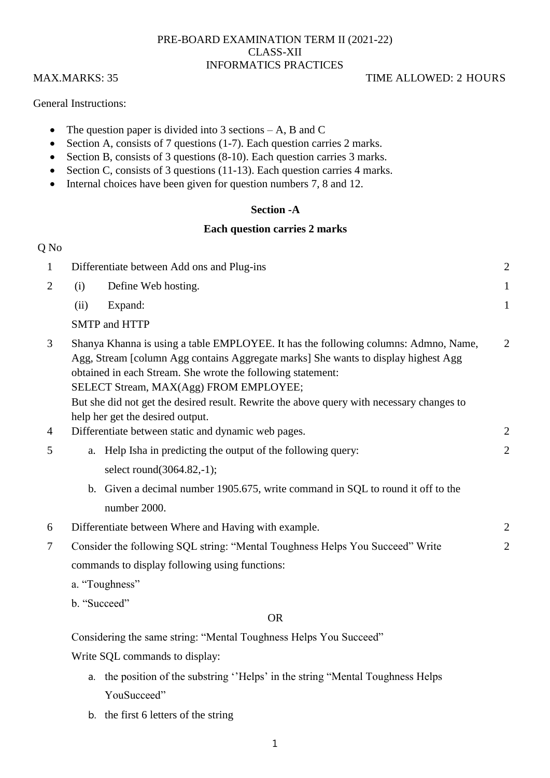# PRE-BOARD EXAMINATION TERM II (2021-22) CLASS-XII INFORMATICS PRACTICES

# MAX.MARKS: 35 TIME ALLOWED: 2 HOURS

General Instructions:

- The question paper is divided into 3 sections  $-A$ , B and C
- Section A, consists of 7 questions (1-7). Each question carries 2 marks.
- Section B, consists of 3 questions (8-10). Each question carries 3 marks.
- Section C, consists of 3 questions (11-13). Each question carries 4 marks.
- Internal choices have been given for question numbers 7, 8 and 12.

# **Section -A**

## **Each question carries 2 marks**

| Q No           |      |                                                                                                                                                                                                                                                                                                                                                                                 |                |
|----------------|------|---------------------------------------------------------------------------------------------------------------------------------------------------------------------------------------------------------------------------------------------------------------------------------------------------------------------------------------------------------------------------------|----------------|
| $\mathbf{1}$   |      | Differentiate between Add ons and Plug-ins                                                                                                                                                                                                                                                                                                                                      | $\overline{2}$ |
| $\overline{2}$ | (i)  | Define Web hosting.                                                                                                                                                                                                                                                                                                                                                             | 1              |
|                | (ii) | Expand:                                                                                                                                                                                                                                                                                                                                                                         | $\mathbf{1}$   |
|                |      | <b>SMTP</b> and HTTP                                                                                                                                                                                                                                                                                                                                                            |                |
| 3              |      | Shanya Khanna is using a table EMPLOYEE. It has the following columns: Admno, Name,<br>Agg, Stream [column Agg contains Aggregate marks] She wants to display highest Agg<br>obtained in each Stream. She wrote the following statement:<br>SELECT Stream, MAX(Agg) FROM EMPLOYEE;<br>But she did not get the desired result. Rewrite the above query with necessary changes to | 2              |
|                |      | help her get the desired output.                                                                                                                                                                                                                                                                                                                                                |                |
| $\overline{4}$ |      | Differentiate between static and dynamic web pages.                                                                                                                                                                                                                                                                                                                             | $\overline{c}$ |
| 5              | a.   | Help Isha in predicting the output of the following query:                                                                                                                                                                                                                                                                                                                      | $\overline{c}$ |
|                |      | select round(3064.82,-1);                                                                                                                                                                                                                                                                                                                                                       |                |
|                |      | b. Given a decimal number 1905.675, write command in SQL to round it off to the<br>number 2000.                                                                                                                                                                                                                                                                                 |                |
| 6              |      | Differentiate between Where and Having with example.                                                                                                                                                                                                                                                                                                                            | $\overline{c}$ |
| 7              |      | Consider the following SQL string: "Mental Toughness Helps You Succeed" Write                                                                                                                                                                                                                                                                                                   | $\overline{2}$ |
|                |      | commands to display following using functions:                                                                                                                                                                                                                                                                                                                                  |                |
|                |      | a. "Toughness"                                                                                                                                                                                                                                                                                                                                                                  |                |
|                |      | b. "Succeed"                                                                                                                                                                                                                                                                                                                                                                    |                |
|                |      |                                                                                                                                                                                                                                                                                                                                                                                 |                |

## OR

Considering the same string: "Mental Toughness Helps You Succeed"

Write SQL commands to display:

- a. the position of the substring "Helps" in the string "Mental Toughness Helps YouSucceed"
- b. the first 6 letters of the string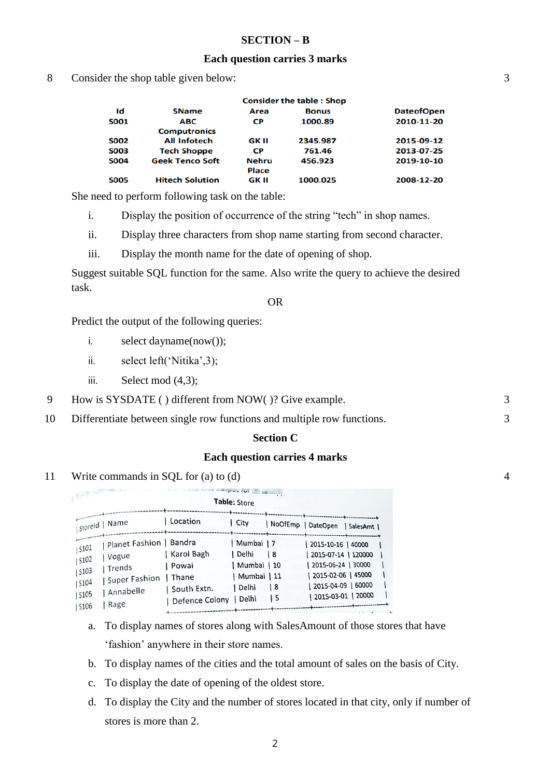### **SECTION – B**

#### **Each question carries 3 marks**

8 Consider the shop table given below:

| <b>Consider the table: Shop</b> |              |              |                   |  |
|---------------------------------|--------------|--------------|-------------------|--|
| <b>SName</b>                    | Area         | <b>Bonus</b> | <b>DateofOpen</b> |  |
| <b>ABC</b>                      | <b>CP</b>    | 1000.89      | 2010-11-20        |  |
| <b>Computronics</b>             |              |              |                   |  |
| <b>All Infotech</b>             | GK II        | 2345.987     | 2015-09-12        |  |
| <b>Tech Shoppe</b>              | <b>CP</b>    | 761.46       | 2013-07-25        |  |
| <b>Geek Tenco Soft</b>          | <b>Nehru</b> | 456.923      | 2019-10-10        |  |
|                                 | Place        |              |                   |  |
| <b>Hitech Solution</b>          | GK II        | 1000.025     | 2008-12-20        |  |
|                                 |              |              |                   |  |

She need to perform following task on the table:

i. Display the position of occurrence of the string "tech" in shop names.

ii. Display three characters from shop name starting from second character.

iii. Display the month name for the date of opening of shop.

Suggest suitable SQL function for the same. Also write the query to achieve the desired task.

#### OR

Predict the output of the following queries:

- i. select dayname(now());
- ii. select left('Nitika',3);
- iii. Select mod  $(4,3)$ ;
- 9 How is SYSDATE ( ) different from NOW( )? Give example. 3
- 10 Differentiate between single row functions and multiple row functions. 3

#### **Section C**

#### **Each question carries 4 marks**

11 Write commands in SQL for (a) to (d)

| <b>COLUMN TWO</b>                                                                                                                              |                                                                         | <b>The President Committee of the Committee Committee</b><br>Table: Store |                                  |                                                                                                                                             |  |
|------------------------------------------------------------------------------------------------------------------------------------------------|-------------------------------------------------------------------------|---------------------------------------------------------------------------|----------------------------------|---------------------------------------------------------------------------------------------------------------------------------------------|--|
| storeld   Name                                                                                                                                 | Location                                                                | City                                                                      |                                  | --+---------------<br>  NoOfEmp   DateOpen   SalesAmt                                                                                       |  |
| Planet Fashion   Bandra<br><b>5101</b><br>Vogue<br><b>S102</b><br>  Trends<br>\$103<br>  Super Fashion<br>\$104<br>  Annabelle<br>S105<br>Rage | Karol Bagh<br>Powai<br>Thane<br>South Extn.<br>  Defence Colony   Delhi | Mumbai   7<br>  Delhi<br>  Mumbai   10<br>Mumbai   11<br>  Delhi          | $\frac{18}{2}$<br><b>8</b><br>۱5 | 2015-10-16   40000<br>  2015-07-14   120000<br>  2015-06-24   30000<br>  2015-02-06   45000<br>  2015-04-09   60000<br>  2015-03-01   20000 |  |

- a. To display names of stores along with SalesAmount of those stores that have 'fashion' anywhere in their store names.
- b. To display names of the cities and the total amount of sales on the basis of City.
- c. To display the date of opening of the oldest store.
- d. To display the City and the number of stores located in that city, only if number of stores is more than 2.

4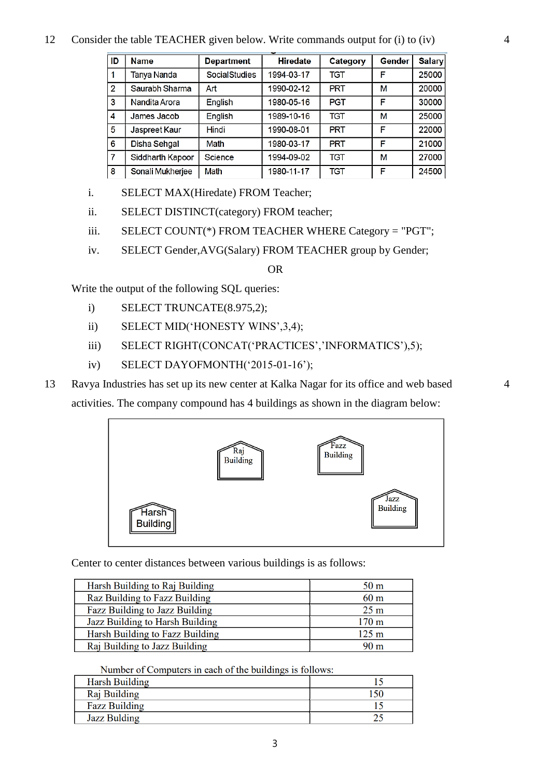### 12 Consider the table TEACHER given below. Write commands output for (i) to (iv)

| ID             | Name             | <b>Department</b> | <b>Hiredate</b> | Category   | Gender | Salary |
|----------------|------------------|-------------------|-----------------|------------|--------|--------|
|                | Tanya Nanda      | SocialStudies     | 1994-03-17      | TGT        |        | 25000  |
| $\overline{2}$ | Saurabh Sharma   | Art               | 1990-02-12      | <b>PRT</b> | М      | 20000  |
| 3              | Nandita Arora    | English           | 1980-05-16      | <b>PGT</b> | F      | 30000  |
| 4              | James Jacob      | English           | 1989-10-16      | TGT        | М      | 25000  |
| 5              | Jaspreet Kaur    | Hindi             | 1990-08-01      | <b>PRT</b> | F      | 22000  |
| 6              | Disha Sehgal     | Math              | 1980-03-17      | <b>PRT</b> | F      | 21000  |
| 7              | Siddharth Kapoor | Science           | 1994-09-02      | TGT        | М      | 27000  |
| 8              | Sonali Mukherjee | Math              | 1980-11-17      | <b>TGT</b> | F      | 24500  |

i. SELECT MAX(Hiredate) FROM Teacher;

ii. SELECT DISTINCT(category) FROM teacher;

iii. SELECT COUNT(\*) FROM TEACHER WHERE Category = "PGT";

iv. SELECT Gender,AVG(Salary) FROM TEACHER group by Gender;

OR

Write the output of the following SQL queries:

- i) SELECT TRUNCATE(8.975,2);
- ii) SELECT MID('HONESTY WINS',3,4);
- iii) SELECT RIGHT(CONCAT('PRACTICES','INFORMATICS'),5);
- iv) SELECT DAYOFMONTH('2015-01-16');
- 13 Ravya Industries has set up its new center at Kalka Nagar for its office and web based activities. The company compound has 4 buildings as shown in the diagram below:



Center to center distances between various buildings is as follows:

| Harsh Building to Raj Building  | 50 <sub>m</sub>  |
|---------------------------------|------------------|
| Raz Building to Fazz Building   | 60 <sub>m</sub>  |
| Fazz Building to Jazz Building  | 25 <sub>m</sub>  |
| Jazz Building to Harsh Building | 170 <sub>m</sub> |
| Harsh Building to Fazz Building | 125 <sub>m</sub> |
| Raj Building to Jazz Building   | 90 m             |

Number of Computers in each of the buildings is follows:

| Harsh Building       |  |
|----------------------|--|
| Raj Building         |  |
| <b>Fazz Building</b> |  |
| <b>Jazz Bulding</b>  |  |

4